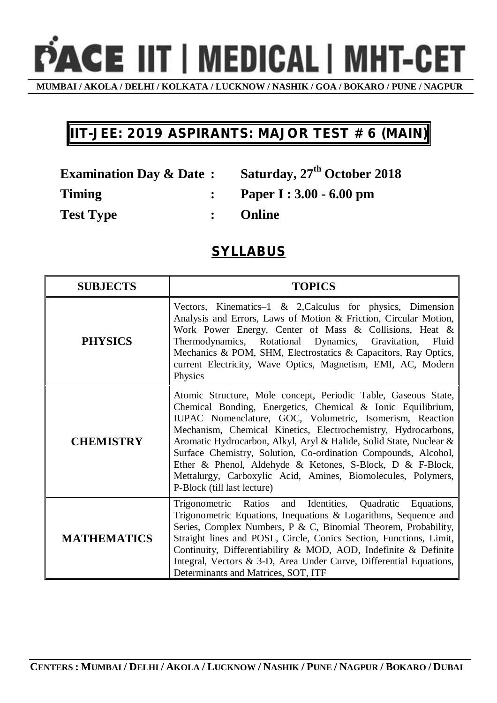PACE IIT | MEDICAL | MHT-CET

**MUMBAI / AKOLA / DELHI / KOLKATA / LUCKNOW / NASHIK / GOA / BOKARO / PUNE / NAGPUR**

## **IIT-JEE: 2019 ASPIRANTS: MAJOR TEST # 6 (MAIN)**

**Examination Day & Date : Saturday, 27th October 2018**

**Timing : Paper I : 3.00 - 6.00 pm** 

**Test Type : Online**

## **SYLLABUS**

| <b>SUBJECTS</b>    | <b>TOPICS</b>                                                                                                                                                                                                                                                                                                                                                                                                                                                                                                                                                  |
|--------------------|----------------------------------------------------------------------------------------------------------------------------------------------------------------------------------------------------------------------------------------------------------------------------------------------------------------------------------------------------------------------------------------------------------------------------------------------------------------------------------------------------------------------------------------------------------------|
| <b>PHYSICS</b>     | Vectors, Kinematics-1 $\&$ 2, Calculus for physics, Dimension<br>Analysis and Errors, Laws of Motion & Friction, Circular Motion,<br>Work Power Energy, Center of Mass & Collisions, Heat &<br>Thermodynamics, Rotational Dynamics, Gravitation,<br>Fluid<br>Mechanics & POM, SHM, Electrostatics & Capacitors, Ray Optics,<br>current Electricity, Wave Optics, Magnetism, EMI, AC, Modern<br>Physics                                                                                                                                                         |
| <b>CHEMISTRY</b>   | Atomic Structure, Mole concept, Periodic Table, Gaseous State,<br>Chemical Bonding, Energetics, Chemical & Ionic Equilibrium,<br>IUPAC Nomenclature, GOC, Volumetric, Isomerism, Reaction<br>Mechanism, Chemical Kinetics, Electrochemistry, Hydrocarbons,<br>Aromatic Hydrocarbon, Alkyl, Aryl & Halide, Solid State, Nuclear &<br>Surface Chemistry, Solution, Co-ordination Compounds, Alcohol,<br>Ether & Phenol, Aldehyde & Ketones, S-Block, D & F-Block,<br>Mettalurgy, Carboxylic Acid, Amines, Biomolecules, Polymers,<br>P-Block (till last lecture) |
| <b>MATHEMATICS</b> | Trigonometric Ratios and Identities,<br>Quadratic Equations,<br>Trigonometric Equations, Inequations & Logarithms, Sequence and<br>Series, Complex Numbers, P & C, Binomial Theorem, Probability,<br>Straight lines and POSL, Circle, Conics Section, Functions, Limit,<br>Continuity, Differentiability & MOD, AOD, Indefinite & Definite<br>Integral, Vectors & 3-D, Area Under Curve, Differential Equations,<br>Determinants and Matrices, SOT, ITF                                                                                                        |